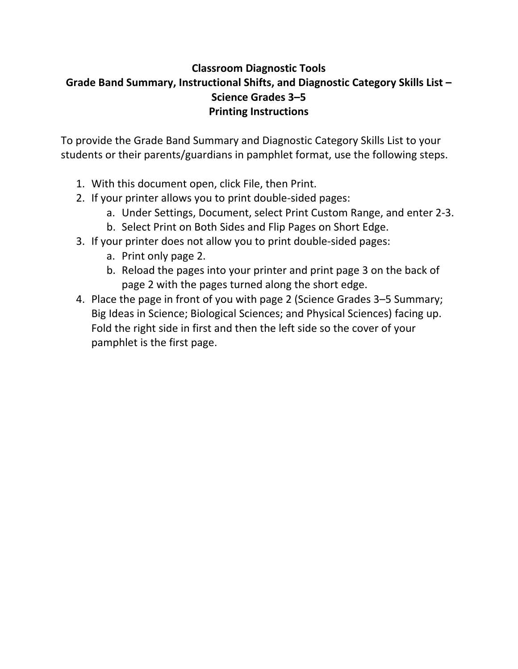# **Classroom Diagnostic Tools Grade Band Summary, Instructional Shifts, and Diagnostic Category Skills List – Science Grades 3–5 Printing Instructions**

To provide the Grade Band Summary and Diagnostic Category Skills List to your students or their parents/guardians in pamphlet format, use the following steps.

- 1. With this document open, click File, then Print.
- 2. If your printer allows you to print double‐sided pages:
	- a. Under Settings, Document, select Print Custom Range, and enter 2‐3.
	- b. Select Print on Both Sides and Flip Pages on Short Edge.
- 3. If your printer does not allow you to print double‐sided pages:
	- a. Print only page 2.
	- b. Reload the pages into your printer and print page 3 on the back of page 2 with the pages turned along the short edge.
- 4. Place the page in front of you with page 2 (Science Grades 3–5 Summary; Big Ideas in Science; Biological Sciences; and Physical Sciences) facing up. Fold the right side in first and then the left side so the cover of your pamphlet is the first page.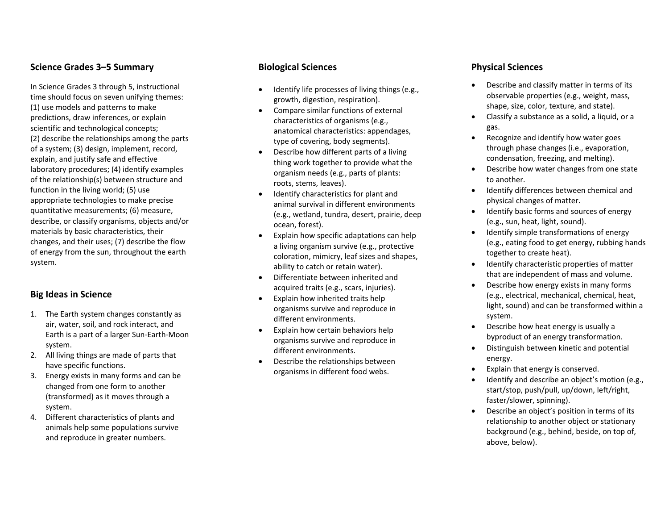### **Science Grades 3–5 Summary**

In Science Grades 3 through 5, instructional time should focus on seven unifying themes: (1) use models and patterns to make predictions, draw inferences, or explain scientific and technological concepts; (2) describe the relationships among the parts of a system; (3) design, implement, record, explain, and justify safe and effective laboratory procedures; (4) identify examples of the relationship(s) between structure and function in the living world; (5) use appropriate technologies to make precise quantitative measurements; (6) measure, describe, or classify organisms, objects and/or materials by basic characteristics, their changes, and their uses; (7) describe the flow of energy from the sun, throughout the earth system.

## **Big Ideas in Science**

- 1. The Earth system changes constantly as air, water, soil, and rock interact, and Earth is <sup>a</sup> part of <sup>a</sup> larger Sun‐Earth‐Moon system.
- 2. All living things are made of parts that have specific functions.
- 3. Energy exists in many forms and can be changed from one form to another (transformed) as it moves through <sup>a</sup> system.
- 4. Different characteristics of plants and animals help some populations survive and reproduce in greater numbers.

#### **Biological Sciences**

- $\bullet$  Identify life processes of living things (e.g., growth, digestion, respiration).
- $\bullet$  Compare similar functions of external characteristics of organisms (e.g., anatomical characteristics: appendages, type of covering, body segments).
- c Describe how different parts of <sup>a</sup> living thing work together to provide what the organism needs (e.g., parts of plants: roots, stems, leaves).
- $\bullet$  Identify characteristics for plant and animal survival in different environments (e.g., wetland, tundra, desert, prairie, deep ocean, forest).
- e Explain how specific adaptations can help a living organism survive (e.g., protective coloration, mimicry, leaf sizes and shapes, ability to catch or retain water).
- $\bullet$  Differentiate between inherited and acquired traits (e.g., scars, injuries).
- $\bullet$  Explain how inherited traits help organisms survive and reproduce in different environments.
- $\bullet$  Explain how certain behaviors help organisms survive and reproduce in different environments.
- $\bullet$  Describe the relationships between organisms in different food webs.

#### **Physical Sciences**

- c Describe and classify matter in terms of its observable properties (e.g., weight, mass, shape, size, color, texture, and state).
- 0 Classify <sup>a</sup> substance as <sup>a</sup> solid, <sup>a</sup> liquid, or <sup>a</sup> gas.
- 0 Recognize and identify how water goes through phase changes (i.e., evaporation, condensation, freezing, and melting).
- Describe how water changes from one state to another.
- **•** Identify differences between chemical and physical changes of matter.
- Identify basic forms and sources of energy (e.g., sun, heat, light, sound).
- Identify simple transformations of energy (e.g., eating food to get energy, rubbing hands together to create heat).
- **•** Identify characteristic properties of matter that are independent of mass and volume.
- Describe how energy exists in many forms (e.g., electrical, mechanical, chemical, heat, light, sound) and can be transformed within <sup>a</sup> system.
- Describe how heat energy is usually <sup>a</sup> byproduct of an energy transformation.
- 0 Distinguish between kinetic and potential energy.
- c Explain that energy is conserved.
- 0 Identify and describe an object's motion (e.g., start/stop, push/pull, up/down, left/right, faster/slower, spinning).
- Describe an object's position in terms of its relationship to another object or stationary background (e.g., behind, beside, on top of, above, below).